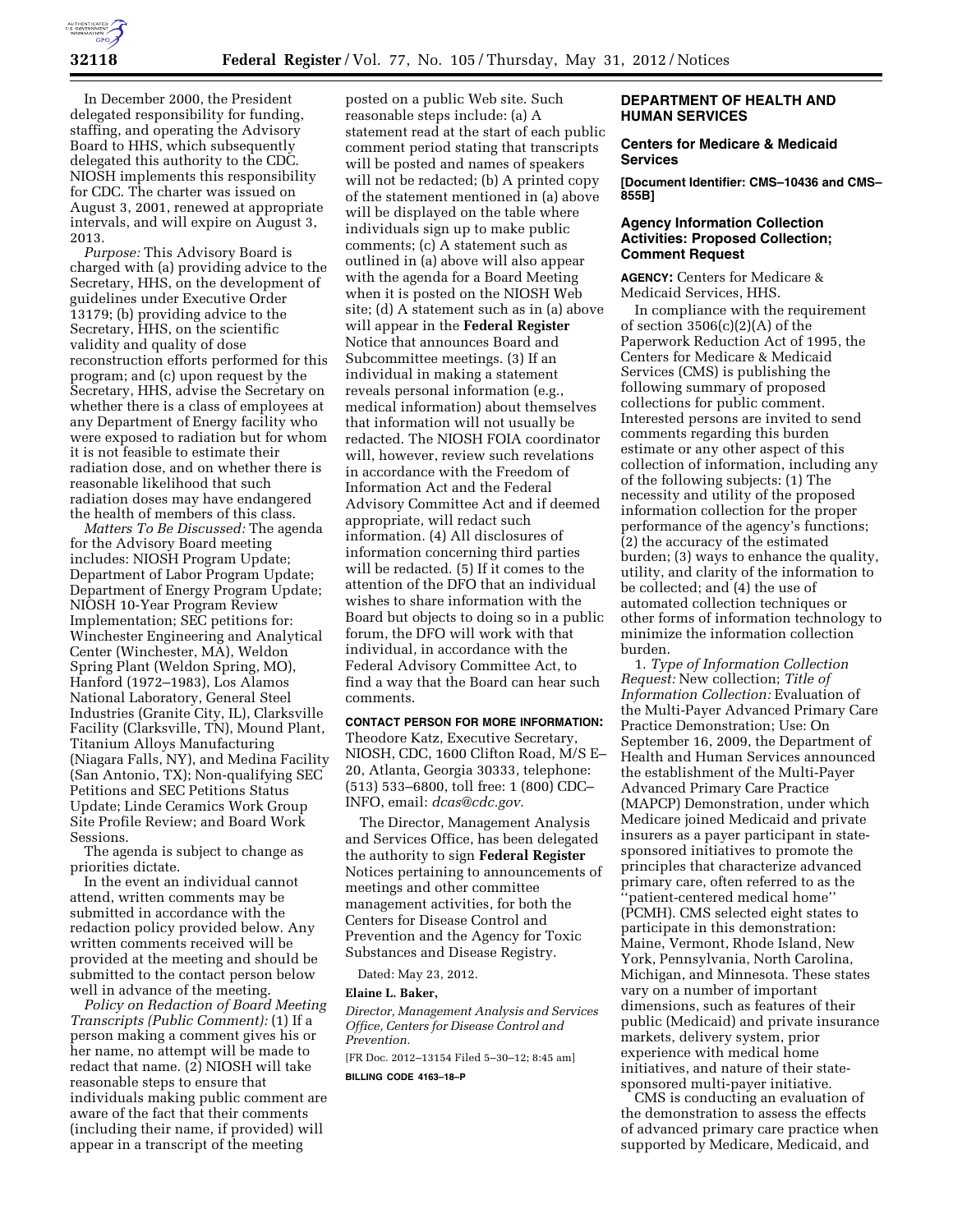

In December 2000, the President delegated responsibility for funding, staffing, and operating the Advisory Board to HHS, which subsequently delegated this authority to the CDC. NIOSH implements this responsibility for CDC. The charter was issued on August 3, 2001, renewed at appropriate intervals, and will expire on August 3, 2013.

*Purpose:* This Advisory Board is charged with (a) providing advice to the Secretary, HHS, on the development of guidelines under Executive Order 13179; (b) providing advice to the Secretary, HHS, on the scientific validity and quality of dose reconstruction efforts performed for this program; and (c) upon request by the Secretary, HHS, advise the Secretary on whether there is a class of employees at any Department of Energy facility who were exposed to radiation but for whom it is not feasible to estimate their radiation dose, and on whether there is reasonable likelihood that such radiation doses may have endangered the health of members of this class.

*Matters To Be Discussed:* The agenda for the Advisory Board meeting includes: NIOSH Program Update; Department of Labor Program Update; Department of Energy Program Update; NIOSH 10-Year Program Review Implementation; SEC petitions for: Winchester Engineering and Analytical Center (Winchester, MA), Weldon Spring Plant (Weldon Spring, MO), Hanford (1972–1983), Los Alamos National Laboratory, General Steel Industries (Granite City, IL), Clarksville Facility (Clarksville, TN), Mound Plant, Titanium Alloys Manufacturing (Niagara Falls, NY), and Medina Facility (San Antonio, TX); Non-qualifying SEC Petitions and SEC Petitions Status Update; Linde Ceramics Work Group Site Profile Review; and Board Work Sessions.

The agenda is subject to change as priorities dictate.

In the event an individual cannot attend, written comments may be submitted in accordance with the redaction policy provided below. Any written comments received will be provided at the meeting and should be submitted to the contact person below well in advance of the meeting.

*Policy on Redaction of Board Meeting Transcripts (Public Comment):* (1) If a person making a comment gives his or her name, no attempt will be made to redact that name. (2) NIOSH will take reasonable steps to ensure that individuals making public comment are aware of the fact that their comments (including their name, if provided) will appear in a transcript of the meeting

posted on a public Web site. Such reasonable steps include: (a) A statement read at the start of each public comment period stating that transcripts will be posted and names of speakers will not be redacted; (b) A printed copy of the statement mentioned in (a) above will be displayed on the table where individuals sign up to make public comments; (c) A statement such as outlined in (a) above will also appear with the agenda for a Board Meeting when it is posted on the NIOSH Web site; (d) A statement such as in (a) above will appear in the **Federal Register**  Notice that announces Board and Subcommittee meetings. (3) If an individual in making a statement reveals personal information (e.g., medical information) about themselves that information will not usually be redacted. The NIOSH FOIA coordinator will, however, review such revelations in accordance with the Freedom of Information Act and the Federal Advisory Committee Act and if deemed appropriate, will redact such information. (4) All disclosures of information concerning third parties will be redacted. (5) If it comes to the attention of the DFO that an individual wishes to share information with the Board but objects to doing so in a public forum, the DFO will work with that individual, in accordance with the Federal Advisory Committee Act, to find a way that the Board can hear such comments.

# **CONTACT PERSON FOR MORE INFORMATION:**  Theodore Katz, Executive Secretary, NIOSH, CDC, 1600 Clifton Road, M/S E– 20, Atlanta, Georgia 30333, telephone: (513) 533–6800, toll free: 1 (800) CDC– INFO, email: *[dcas@cdc.gov.](mailto:dcas@cdc.gov)*

The Director, Management Analysis and Services Office, has been delegated the authority to sign **Federal Register**  Notices pertaining to announcements of meetings and other committee management activities, for both the Centers for Disease Control and Prevention and the Agency for Toxic Substances and Disease Registry.

Dated: May 23, 2012.

# **Elaine L. Baker,**

*Director, Management Analysis and Services Office, Centers for Disease Control and Prevention.* 

[FR Doc. 2012–13154 Filed 5–30–12; 8:45 am]

**BILLING CODE 4163–18–P** 

# **DEPARTMENT OF HEALTH AND HUMAN SERVICES**

## **Centers for Medicare & Medicaid Services**

**[Document Identifier: CMS–10436 and CMS– 855B]** 

# **Agency Information Collection Activities: Proposed Collection; Comment Request**

**AGENCY:** Centers for Medicare & Medicaid Services, HHS.

In compliance with the requirement of section  $3506(c)(2)(A)$  of the Paperwork Reduction Act of 1995, the Centers for Medicare & Medicaid Services (CMS) is publishing the following summary of proposed collections for public comment. Interested persons are invited to send comments regarding this burden estimate or any other aspect of this collection of information, including any of the following subjects: (1) The necessity and utility of the proposed information collection for the proper performance of the agency's functions; (2) the accuracy of the estimated burden; (3) ways to enhance the quality, utility, and clarity of the information to be collected; and (4) the use of automated collection techniques or other forms of information technology to minimize the information collection burden.

1. *Type of Information Collection Request:* New collection; *Title of Information Collection:* Evaluation of the Multi-Payer Advanced Primary Care Practice Demonstration; Use: On September 16, 2009, the Department of Health and Human Services announced the establishment of the Multi-Payer Advanced Primary Care Practice (MAPCP) Demonstration, under which Medicare joined Medicaid and private insurers as a payer participant in statesponsored initiatives to promote the principles that characterize advanced primary care, often referred to as the ''patient-centered medical home'' (PCMH). CMS selected eight states to participate in this demonstration: Maine, Vermont, Rhode Island, New York, Pennsylvania, North Carolina, Michigan, and Minnesota. These states vary on a number of important dimensions, such as features of their public (Medicaid) and private insurance markets, delivery system, prior experience with medical home initiatives, and nature of their statesponsored multi-payer initiative.

CMS is conducting an evaluation of the demonstration to assess the effects of advanced primary care practice when supported by Medicare, Medicaid, and